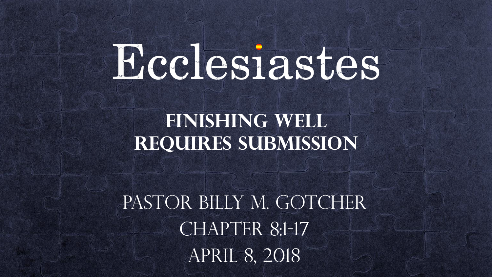# Ecclesiastes

## **Finishing Well Requires submission**

PASTOR BILLY M. GOTCHER **CHAPTER 8:1-17** April 8, 2018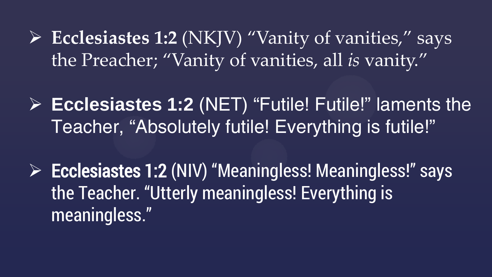**Ecclesiastes 1:2** (NKJV) "Vanity of vanities," says the Preacher; "Vanity of vanities, all *is* vanity."

 **Ecclesiastes 1:2** (NET) "Futile! Futile!" laments the Teacher, "Absolutely futile! Everything is futile!"

 Ecclesiastes 1:2 (NIV) "Meaningless! Meaningless!" says the Teacher. "Utterly meaningless! Everything is meaningless."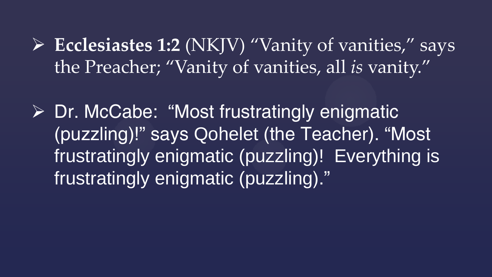**Ecclesiastes 1:2** (NKJV) "Vanity of vanities," says the Preacher; "Vanity of vanities, all *is* vanity."

 Dr. McCabe: "Most frustratingly enigmatic (puzzling)!" says Qohelet (the Teacher). "Most frustratingly enigmatic (puzzling)! Everything is frustratingly enigmatic (puzzling)."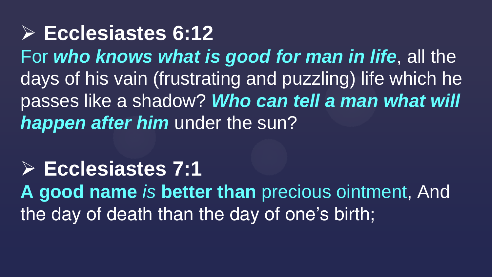**Ecclesiastes 6:12**  For *who knows what is good for man in life*, all the days of his vain (frustrating and puzzling) life which he passes like a shadow? *Who can tell a man what will happen after him* under the sun?

#### **Ecclesiastes 7:1**

**A good name** *is* **better than** precious ointment, And the day of death than the day of one's birth;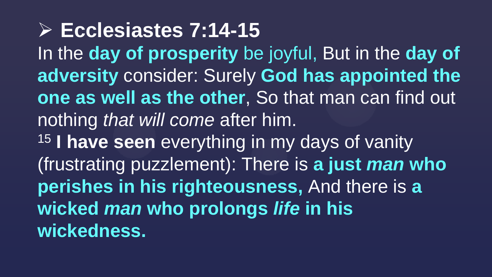**Ecclesiastes 7:14-15**  In the **day of prosperity** be joyful, But in the **day of adversity** consider: Surely **God has appointed the one as well as the other**, So that man can find out nothing *that will come* after him. <sup>15</sup> **I have seen** everything in my days of vanity (frustrating puzzlement): There is **a just** *man* **who perishes in his righteousness,** And there is **a wicked** *man* **who prolongs** *life* **in his wickedness.**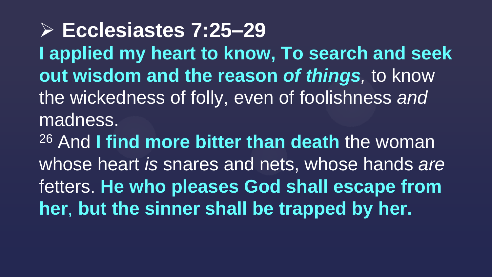**Ecclesiastes 7:25–29 I applied my heart to know, To search and seek out wisdom and the reason** *of things,* to know the wickedness of folly, even of foolishness *and* madness. <sup>26</sup> And **I find more bitter than death** the woman whose heart *is* snares and nets, whose hands *are* fetters. **He who pleases God shall escape from her**, **but the sinner shall be trapped by her.**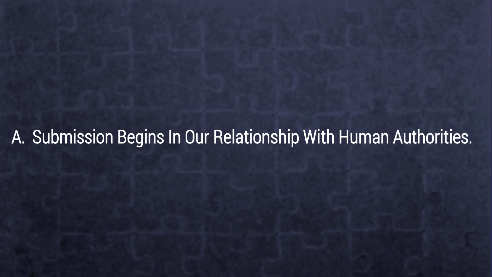## A. Submission Begins In Our Relationship With Human Authorities.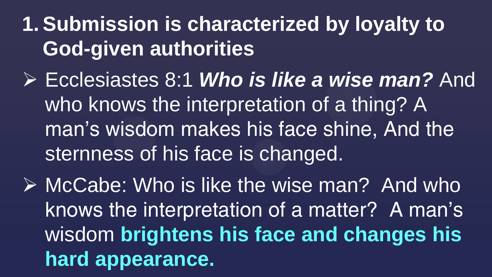## **1. Submission is characterized by loyalty to God-given authorities**

- Ecclesiastes 8:1 *Who is like a wise man?* And who knows the interpretation of a thing? A man's wisdom makes his face shine, And the sternness of his face is changed.
- $\triangleright$  McCabe: Who is like the wise man? And who knows the interpretation of a matter? A man's wisdom **brightens his face and changes his hard appearance.**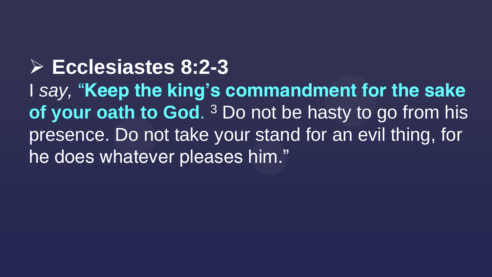**Ecclesiastes 8:2-3**  I *say,* "**Keep the king's commandment for the sake of your oath to God**. <sup>3</sup> Do not be hasty to go from his presence. Do not take your stand for an evil thing, for he does whatever pleases him."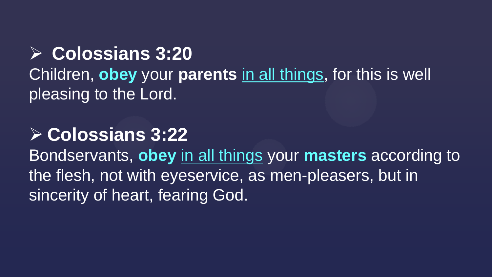#### **Colossians 3:20**

Children, **obey** your **parents** in all things, for this is well pleasing to the Lord.

## **Colossians 3:22**

Bondservants, **obey** in all things your **masters** according to the flesh, not with eyeservice, as men-pleasers, but in sincerity of heart, fearing God.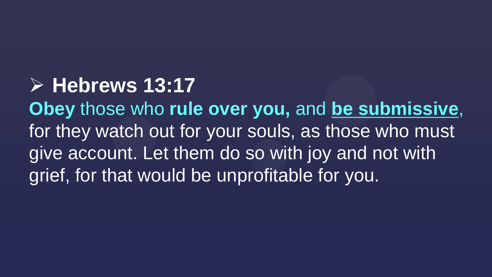## **Hebrews 13:17**

**Obey** those who **rule over you,** and **be submissive**, for they watch out for your souls, as those who must give account. Let them do so with joy and not with grief, for that would be unprofitable for you.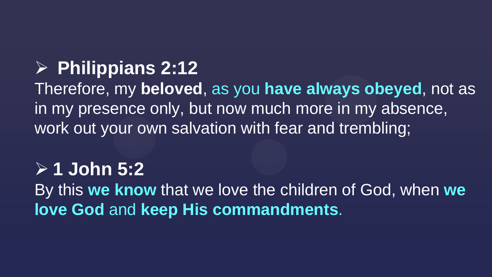## **Philippians 2:12**

Therefore, my **beloved**, as you **have always obeyed**, not as in my presence only, but now much more in my absence, work out your own salvation with fear and trembling;

## **1 John 5:2**

By this **we know** that we love the children of God, when **we love God** and **keep His commandments**.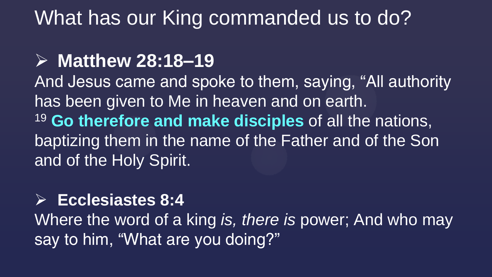## What has our King commanded us to do?

## **Matthew 28:18–19**

And Jesus came and spoke to them, saying, "All authority has been given to Me in heaven and on earth. <sup>19</sup> **Go therefore and make disciples** of all the nations, baptizing them in the name of the Father and of the Son and of the Holy Spirit.

#### **Ecclesiastes 8:4**

Where the word of a king *is, there is* power; And who may say to him, "What are you doing?"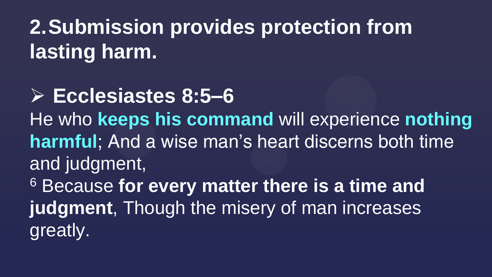**2.Submission provides protection from lasting harm.**

 **Ecclesiastes 8:5–6**  He who **keeps his command** will experience **nothing harmful**; And a wise man's heart discerns both time and judgment, <sup>6</sup> Because **for every matter there is a time and judgment**, Though the misery of man increases greatly.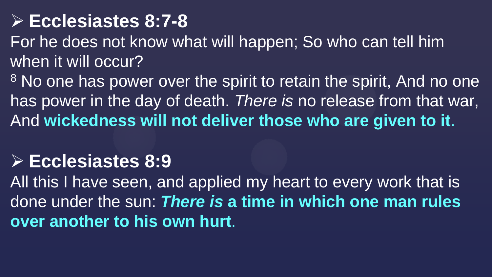## **Ecclesiastes 8:7-8**

For he does not know what will happen; So who can tell him when it will occur?

<sup>8</sup> No one has power over the spirit to retain the spirit, And no one has power in the day of death. *There is* no release from that war, And **wickedness will not deliver those who are given to it**.

#### **Ecclesiastes 8:9**

All this I have seen, and applied my heart to every work that is done under the sun: *There is* **a time in which one man rules over another to his own hurt**.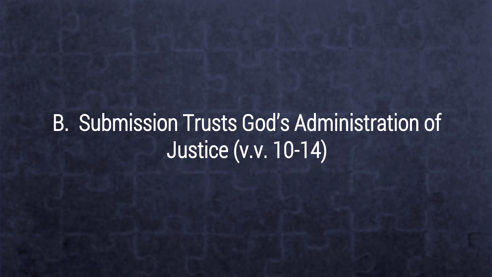B. Submission Trusts God's Administration of Justice (v.v. 10-14)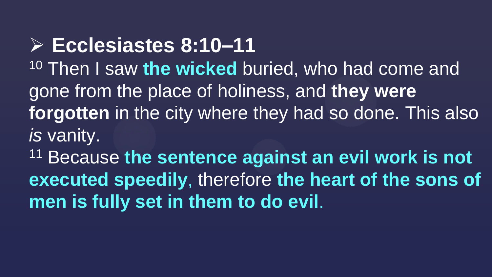**Ecclesiastes 8:10–11**  <sup>10</sup> Then I saw **the wicked** buried, who had come and gone from the place of holiness, and **they were forgotten** in the city where they had so done. This also *is* vanity.

<sup>11</sup> Because the sentence against an evil work is not **executed speedily**, therefore **the heart of the sons of men is fully set in them to do evil**.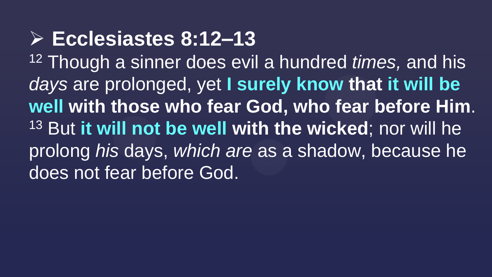**Ecclesiastes 8:12–13**  <sup>12</sup> Though a sinner does evil a hundred *times,* and his *days* are prolonged, yet **I surely know that it will be well with those who fear God, who fear before Him**. <sup>13</sup> But **it will not be well with the wicked**; nor will he prolong *his* days, *which are* as a shadow, because he does not fear before God.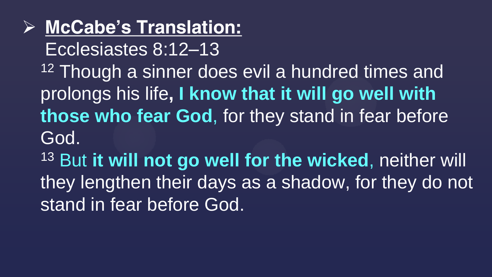## **McCabe's Translation:**

Ecclesiastes 8:12–13

12 Though a sinner does evil a hundred times and prolongs his life**, I know that it will go well with those who fear God**, for they stand in fear before God.

<sup>13</sup> But **it will not go well for the wicked**, neither will they lengthen their days as a shadow, for they do not stand in fear before God.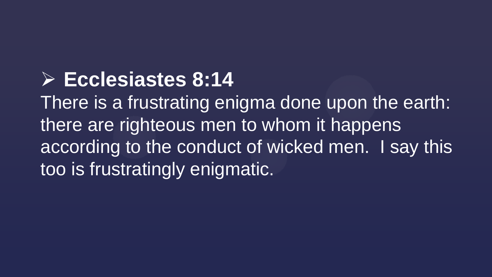## **Ecclesiastes 8:14**

There is a frustrating enigma done upon the earth: there are righteous men to whom it happens according to the conduct of wicked men. I say this too is frustratingly enigmatic.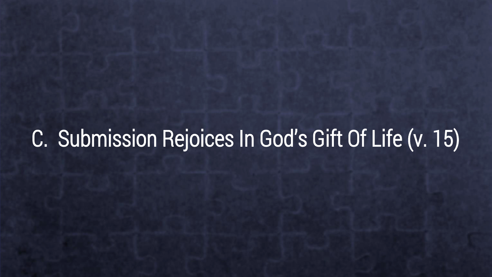# C. Submission Rejoices In God's Gift Of Life (v. 15)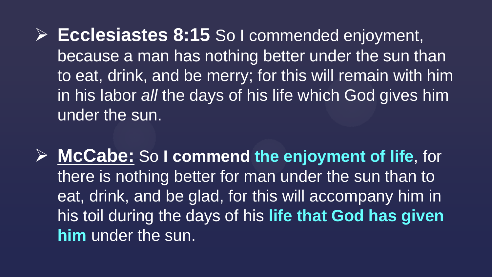**Ecclesiastes 8:15** So I commended enjoyment, because a man has nothing better under the sun than to eat, drink, and be merry; for this will remain with him in his labor *all* the days of his life which God gives him under the sun.

 **McCabe:** So **I commend the enjoyment of life**, for there is nothing better for man under the sun than to eat, drink, and be glad, for this will accompany him in his toil during the days of his **life that God has given him** under the sun.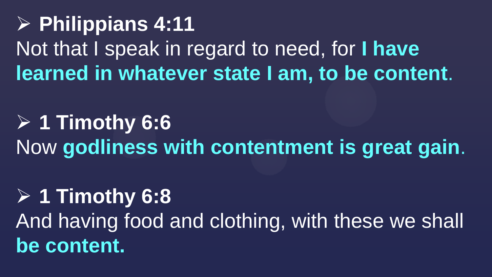**Philippians 4:11**  Not that I speak in regard to need, for **I have learned in whatever state I am, to be content**.

 **1 Timothy 6:6**  Now **godliness with contentment is great gain**.

## **1 Timothy 6:8**

And having food and clothing, with these we shall **be content.**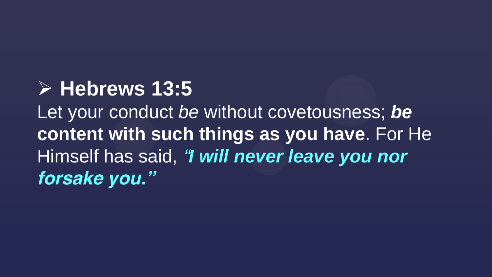## **Hebrews 13:5**

Let your conduct *be* without covetousness; *be* **content with such things as you have**. For He Himself has said, *"I will never leave you nor forsake you."*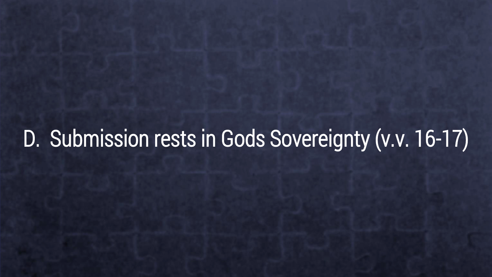# D. Submission rests in Gods Sovereignty (v.v. 16-17)